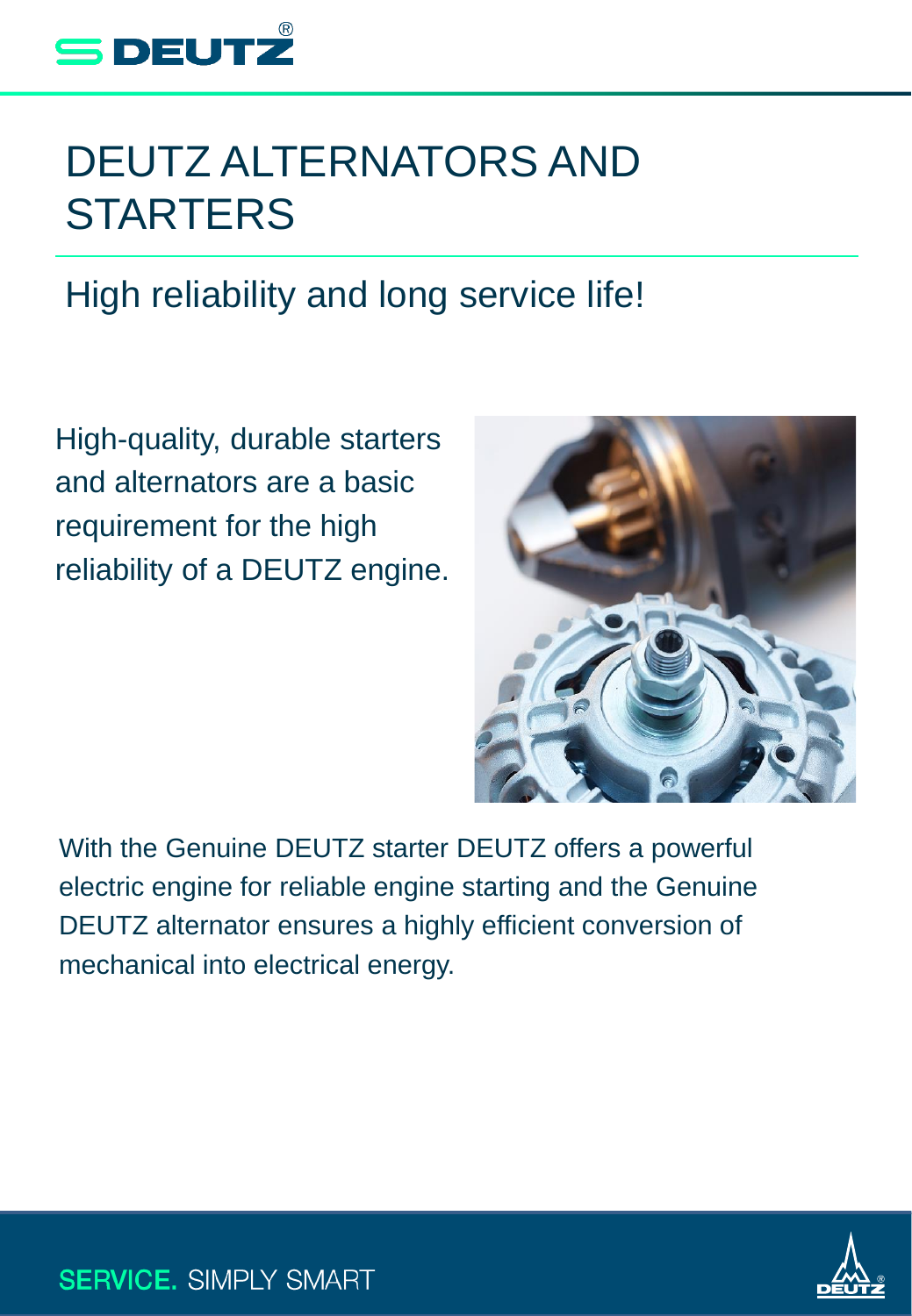

# DEUTZ ALTERNATORS AND **STARTERS**

# High reliability and long service life!

High-quality, durable starters and alternators are a basic requirement for the high reliability of a DEUTZ engine.



With the Genuine DEUTZ starter DEUTZ offers a powerful electric engine for reliable engine starting and the Genuine DEUTZ alternator ensures a highly efficient conversion of mechanical into electrical energy.



**SERVICE. SIMPLY SMART**